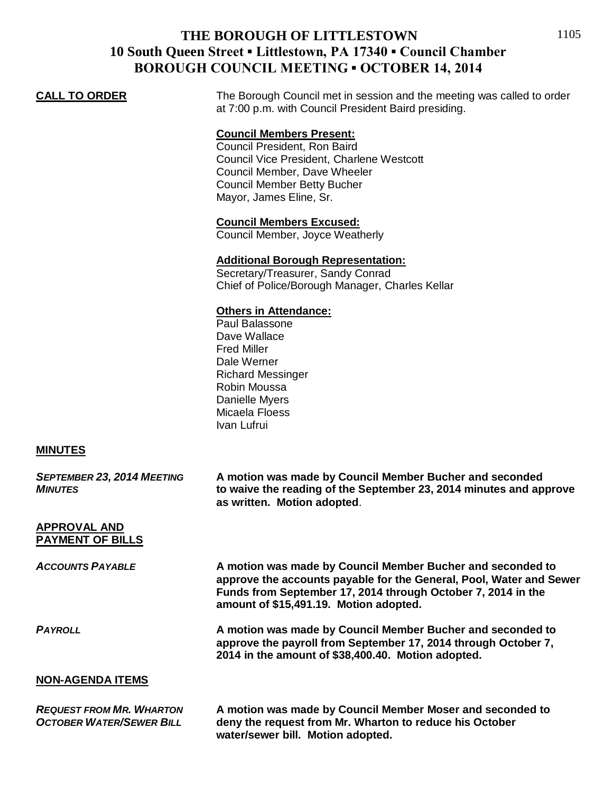# **THE BOROUGH OF LITTLESTOWN 10 South Queen Street ▪ Littlestown, PA 17340 ▪ Council Chamber BOROUGH COUNCIL MEETING ▪ OCTOBER 14, 2014**

**CALL TO ORDER** The Borough Council met in session and the meeting was called to order at 7:00 p.m. with Council President Baird presiding.

## **Council Members Present:**

Council President, Ron Baird Council Vice President, Charlene Westcott Council Member, Dave Wheeler Council Member Betty Bucher Mayor, James Eline, Sr.

#### **Council Members Excused:**

Council Member, Joyce Weatherly

### **Additional Borough Representation:**

Secretary/Treasurer, Sandy Conrad Chief of Police/Borough Manager, Charles Kellar

#### **Others in Attendance:**

Paul Balassone Dave Wallace Fred Miller Dale Werner Richard Messinger Robin Moussa Danielle Myers Micaela Floess Ivan Lufrui

#### **MINUTES**

| <b>SEPTEMBER 23, 2014 MEETING</b><br><b>MINUTES</b>                | A motion was made by Council Member Bucher and seconded<br>to waive the reading of the September 23, 2014 minutes and approve<br>as written. Motion adopted.                                                                                |
|--------------------------------------------------------------------|---------------------------------------------------------------------------------------------------------------------------------------------------------------------------------------------------------------------------------------------|
| APPROVAL AND<br><b>PAYMENT OF BILLS</b>                            |                                                                                                                                                                                                                                             |
| <b>ACCOUNTS PAYABLE</b>                                            | A motion was made by Council Member Bucher and seconded to<br>approve the accounts payable for the General, Pool, Water and Sewer<br>Funds from September 17, 2014 through October 7, 2014 in the<br>amount of \$15,491.19. Motion adopted. |
| <b>PAYROLL</b>                                                     | A motion was made by Council Member Bucher and seconded to<br>approve the payroll from September 17, 2014 through October 7,<br>2014 in the amount of \$38,400.40. Motion adopted.                                                          |
| <b>NON-AGENDA ITEMS</b>                                            |                                                                                                                                                                                                                                             |
| <b>REQUEST FROM MR. WHARTON</b><br><b>OCTOBER WATER/SEWER BILL</b> | A motion was made by Council Member Moser and seconded to<br>deny the request from Mr. Wharton to reduce his October                                                                                                                        |

**water/sewer bill. Motion adopted.**